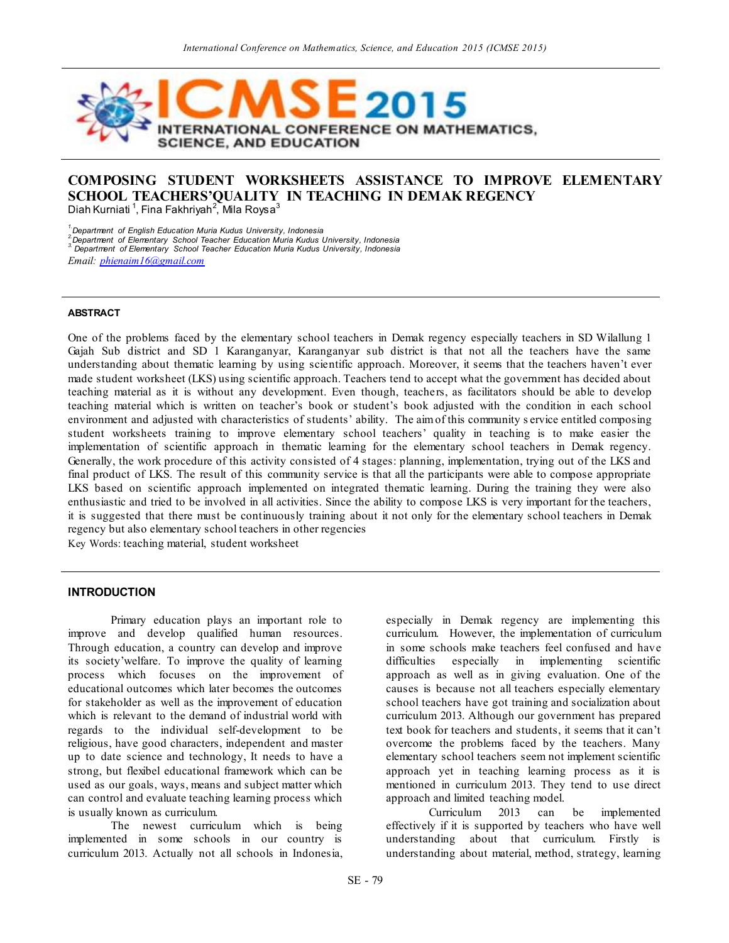

# **COMPOSING STUDENT WORKSHEETS ASSISTANCE TO IMPROVE ELEMENTARY SCHOOL TEACHERS'QUALITY IN TEACHING IN DEMAK REGENCY** Diah Kurniati  $^1$ , Fina Fakhriyah $^2$ , Mila Roysa $^3$

*1.Department of English Education Muria Kudus University, Indonesia*

<sup>2</sup> Department of Elementary School Teacher Education Muria Kudus University, Indonesia<br><sup>3</sup> Department of Elementary School Teacher Education Muria Kudus University, Indonesia

*Email[: phienaim16@gmail.com](mailto:phienaim16@gmail.com)*

#### **ABSTRACT**

One of the problems faced by the elementary school teachers in Demak regency especially teachers in SD Wilallung 1 Gajah Sub district and SD 1 Karanganyar, Karanganyar sub district is that not all the teachers have the same understanding about thematic learning by using scientific approach. Moreover, it seems that the teachers haven't ever made student worksheet (LKS) using scientific approach. Teachers tend to accept what the government has decided about teaching material as it is without any development. Even though, teachers, as facilitators should be able to develop teaching material which is written on teacher's book or student's book adjusted with the condition in each school environment and adjusted with characteristics of students' ability. The aim of this community s ervice entitled composing student worksheets training to improve elementary school teachers' quality in teaching is to make easier the implementation of scientific approach in thematic learning for the elementary school teachers in Demak regency. Generally, the work procedure of this activity consisted of 4 stages: planning, implementation, trying out of the LKS and final product of LKS. The result of this community service is that all the participants were able to compose appropriate LKS based on scientific approach implemented on integrated thematic learning. During the training they were also enthusiastic and tried to be involved in all activities. Since the ability to compose LKS is very important for the teachers, it is suggested that there must be continuously training about it not only for the elementary school teachers in Demak regency but also elementary school teachers in other regencies

Key Words: teaching material, student worksheet

#### **INTRODUCTION**

Primary education plays an important role to improve and develop qualified human resources. Through education, a country can develop and improve its society'welfare. To improve the quality of learning process which focuses on the improvement of educational outcomes which later becomes the outcomes for stakeholder as well as the improvement of education which is relevant to the demand of industrial world with regards to the individual self-development to be religious, have good characters, independent and master up to date science and technology, It needs to have a strong, but flexibel educational framework which can be used as our goals, ways, means and subject matter which can control and evaluate teaching learning process which is usually known as curriculum.

The newest curriculum which is being implemented in some schools in our country is curriculum 2013. Actually not all schools in Indonesia, especially in Demak regency are implementing this curriculum. However, the implementation of curriculum in some schools make teachers feel confused and have difficulties especially in implementing scientific approach as well as in giving evaluation. One of the causes is because not all teachers especially elementary school teachers have got training and socialization about curriculum 2013. Although our government has prepared text book for teachers and students, it seems that it can't overcome the problems faced by the teachers. Many elementary school teachers seem not implement scientific approach yet in teaching learning process as it is mentioned in curriculum 2013. They tend to use direct approach and limited teaching model.

Curriculum 2013 can be implemented effectively if it is supported by teachers who have well understanding about that curriculum. Firstly is understanding about material, method, strategy, learning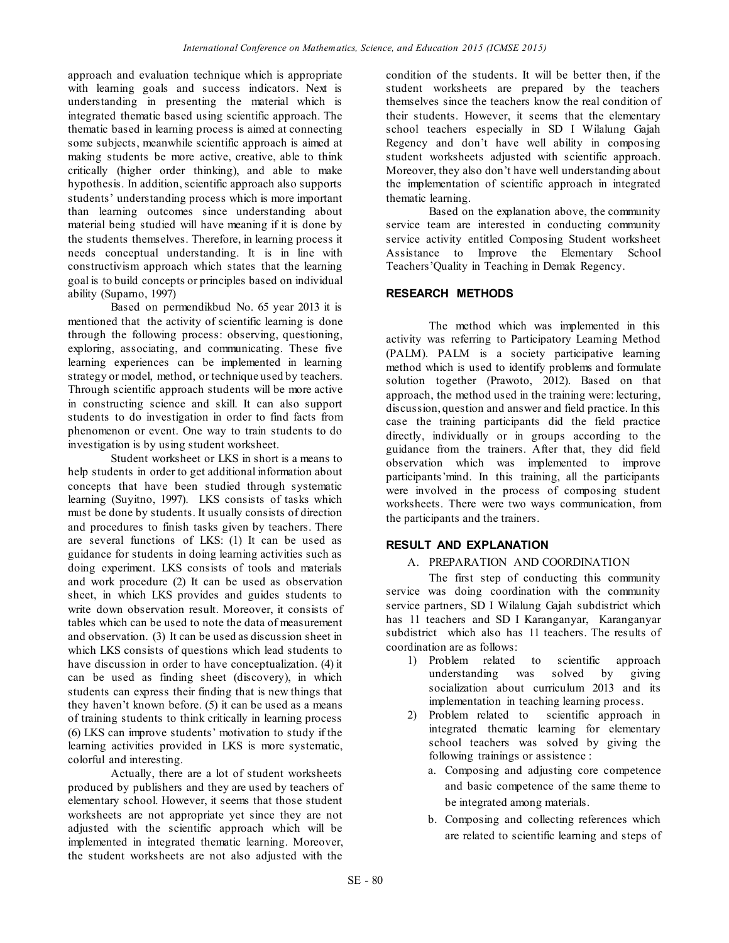approach and evaluation technique which is appropriate with learning goals and success indicators. Next is understanding in presenting the material which is integrated thematic based using scientific approach. The thematic based in learning process is aimed at connecting some subjects, meanwhile scientific approach is aimed at making students be more active, creative, able to think critically (higher order thinking), and able to make hypothesis. In addition, scientific approach also supports students' understanding process which is more important than learning outcomes since understanding about material being studied will have meaning if it is done by the students themselves. Therefore, in learning process it needs conceptual understanding. It is in line with constructivism approach which states that the learning goal is to build concepts or principles based on individual ability (Suparno, 1997)

Based on permendikbud No. 65 year 2013 it is mentioned that the activity of scientific learning is done through the following process: observing, questioning, exploring, associating, and communicating. These five learning experiences can be implemented in learning strategy or model, method, or technique used by teachers. Through scientific approach students will be more active in constructing science and skill. It can also support students to do investigation in order to find facts from phenomenon or event. One way to train students to do investigation is by using student worksheet.

Student worksheet or LKS in short is a means to help students in order to get additional information about concepts that have been studied through systematic learning (Suyitno, 1997). LKS consists of tasks which must be done by students. It usually consists of direction and procedures to finish tasks given by teachers. There are several functions of LKS: (1) It can be used as guidance for students in doing learning activities such as doing experiment. LKS consists of tools and materials and work procedure (2) It can be used as observation sheet, in which LKS provides and guides students to write down observation result. Moreover, it consists of tables which can be used to note the data of measurement and observation. (3) It can be used as discussion sheet in which LKS consists of questions which lead students to have discussion in order to have conceptualization. (4) it can be used as finding sheet (discovery), in which students can express their finding that is new things that they haven't known before. (5) it can be used as a means of training students to think critically in learning process (6) LKS can improve students' motivation to study if the learning activities provided in LKS is more systematic, colorful and interesting.

Actually, there are a lot of student worksheets produced by publishers and they are used by teachers of elementary school. However, it seems that those student worksheets are not appropriate yet since they are not adjusted with the scientific approach which will be implemented in integrated thematic learning. Moreover, the student worksheets are not also adjusted with the

condition of the students. It will be better then, if the student worksheets are prepared by the teachers themselves since the teachers know the real condition of their students. However, it seems that the elementary school teachers especially in SD I Wilalung Gajah Regency and don't have well ability in composing student worksheets adjusted with scientific approach. Moreover, they also don't have well understanding about the implementation of scientific approach in integrated thematic learning.

Based on the explanation above, the community service team are interested in conducting community service activity entitled Composing Student worksheet Assistance to Improve the Elementary School Teachers'Quality in Teaching in Demak Regency.

### **RESEARCH METHODS**

The method which was implemented in this activity was referring to Participatory Learning Method (PALM). PALM is a society participative learning method which is used to identify problems and formulate solution together (Prawoto, 2012). Based on that approach, the method used in the training were: lecturing, discussion, question and answer and field practice. In this case the training participants did the field practice directly, individually or in groups according to the guidance from the trainers. After that, they did field observation which was implemented to improve participants'mind. In this training, all the participants were involved in the process of composing student worksheets. There were two ways communication, from the participants and the trainers.

#### **RESULT AND EXPLANATION**

### A. PREPARATION AND COORDINATION

The first step of conducting this community service was doing coordination with the community service partners, SD I Wilalung Gajah subdistrict which has 11 teachers and SD I Karanganyar, Karanganyar subdistrict which also has 11 teachers. The results of coordination are as follows:

- 1) Problem related to scientific approach understanding was solved by giving socialization about curriculum 2013 and its implementation in teaching learning process.
- 2) Problem related to scientific approach in integrated thematic learning for elementary school teachers was solved by giving the following trainings or assistence :
	- a. Composing and adjusting core competence and basic competence of the same theme to be integrated among materials.
	- b. Composing and collecting references which are related to scientific learning and steps of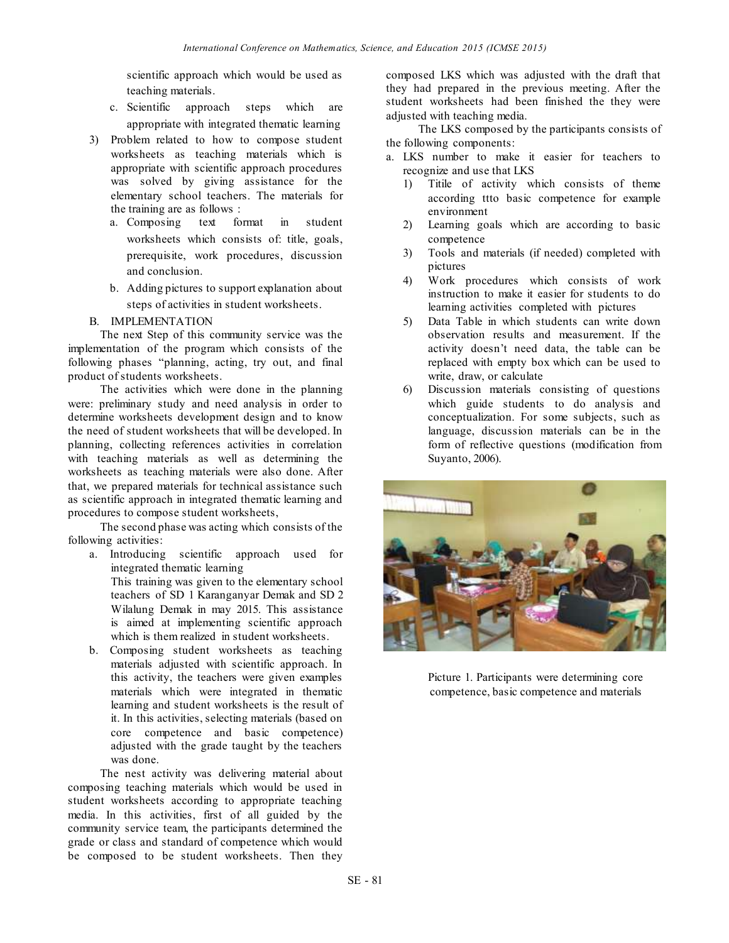scientific approach which would be used as teaching materials.

- c. Scientific approach steps which are appropriate with integrated thematic learning
- 3) Problem related to how to compose student worksheets as teaching materials which is appropriate with scientific approach procedures was solved by giving assistance for the elementary school teachers. The materials for the training are as follows :
	- a. Composing text format in student worksheets which consists of: title, goals, prerequisite, work procedures, discussion and conclusion.
	- b. Adding pictures to support explanation about steps of activities in student worksheets.
- B. IMPLEMENTATION

The next Step of this community service was the implementation of the program which consists of the following phases "planning, acting, try out, and final product of students worksheets.

The activities which were done in the planning were: preliminary study and need analysis in order to determine worksheets development design and to know the need of student worksheets that will be developed. In planning, collecting references activities in correlation with teaching materials as well as determining the worksheets as teaching materials were also done. After that, we prepared materials for technical assistance such as scientific approach in integrated thematic learning and procedures to compose student worksheets,

The second phase was acting which consists of the following activities:

- a. Introducing scientific approach used for integrated thematic learning This training was given to the elementary school teachers of SD 1 Karanganyar Demak and SD 2 Wilalung Demak in may 2015. This assistance is aimed at implementing scientific approach which is them realized in student worksheets.
- b. Composing student worksheets as teaching materials adjusted with scientific approach. In this activity, the teachers were given examples materials which were integrated in thematic learning and student worksheets is the result of it. In this activities, selecting materials (based on core competence and basic competence) adjusted with the grade taught by the teachers was done.

The nest activity was delivering material about composing teaching materials which would be used in student worksheets according to appropriate teaching media. In this activities, first of all guided by the community service team, the participants determined the grade or class and standard of competence which would be composed to be student worksheets. Then they

composed LKS which was adjusted with the draft that they had prepared in the previous meeting. After the student worksheets had been finished the they were adjusted with teaching media.

The LKS composed by the participants consists of the following components:

- a. LKS number to make it easier for teachers to recognize and use that LKS
	- 1) Titile of activity which consists of theme according ttto basic competence for example environment
	- 2) Learning goals which are according to basic competence
	- 3) Tools and materials (if needed) completed with pictures
	- 4) Work procedures which consists of work instruction to make it easier for students to do learning activities completed with pictures
	- 5) Data Table in which students can write down observation results and measurement. If the activity doesn't need data, the table can be replaced with empty box which can be used to write, draw, or calculate
	- 6) Discussion materials consisting of questions which guide students to do analysis and conceptualization. For some subjects, such as language, discussion materials can be in the form of reflective questions (modification from Suyanto, 2006).



Picture 1. Participants were determining core competence, basic competence and materials